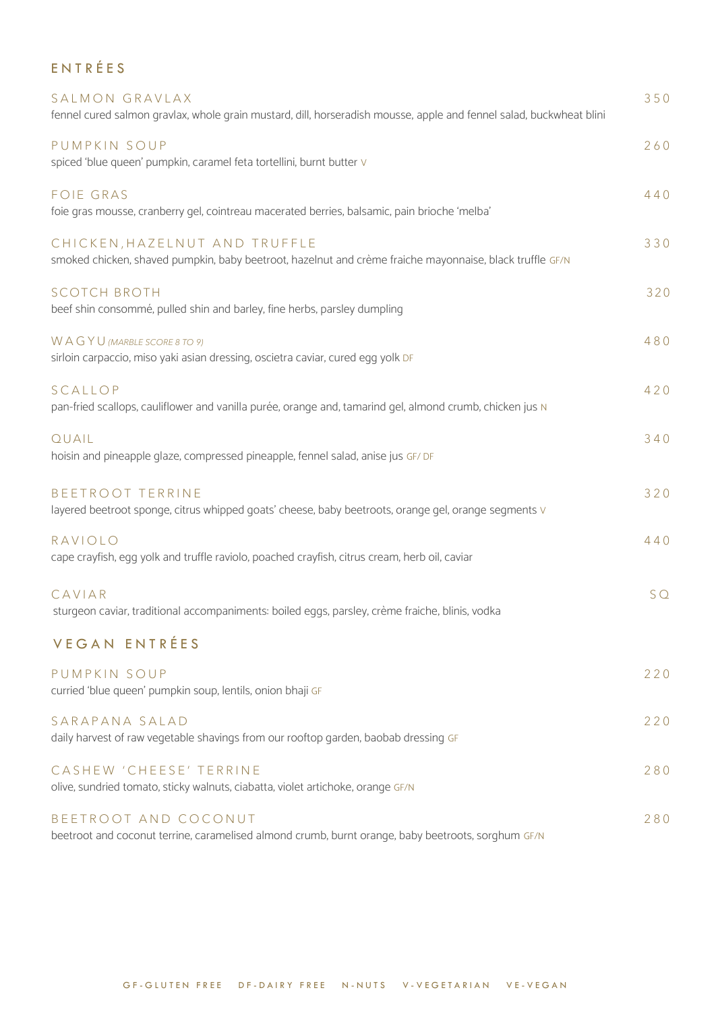| ENTRÉES                                                                                                                                   |     |
|-------------------------------------------------------------------------------------------------------------------------------------------|-----|
| SALMON GRAVLAX<br>fennel cured salmon gravlax, whole grain mustard, dill, horseradish mousse, apple and fennel salad, buckwheat blini     | 350 |
| PUMPKIN SOUP<br>spiced 'blue queen' pumpkin, caramel feta tortellini, burnt butter V                                                      | 260 |
| <b>FOIE GRAS</b><br>foie gras mousse, cranberry gel, cointreau macerated berries, balsamic, pain brioche 'melba'                          | 440 |
| CHICKEN, HAZELNUT AND TRUFFLE<br>smoked chicken, shaved pumpkin, baby beetroot, hazelnut and crème fraiche mayonnaise, black truffle GF/N | 330 |
| <b>SCOTCH BROTH</b><br>beef shin consommé, pulled shin and barley, fine herbs, parsley dumpling                                           | 320 |
| WAGYU (MARBLE SCORE 8 TO 9)<br>sirloin carpaccio, miso yaki asian dressing, oscietra caviar, cured egg yolk DF                            | 480 |
| SCALLOP<br>pan-fried scallops, cauliflower and vanilla purée, orange and, tamarind gel, almond crumb, chicken jus N                       | 420 |
| QUAIL<br>hoisin and pineapple glaze, compressed pineapple, fennel salad, anise jus GF/DF                                                  | 340 |
| <b>BEETROOT TERRINE</b><br>layered beetroot sponge, citrus whipped goats' cheese, baby beetroots, orange gel, orange segments V           | 320 |
| RAVIOLO<br>cape crayfish, egg yolk and truffle raviolo, poached crayfish, citrus cream, herb oil, caviar                                  | 440 |
| CAYIAR<br>sturgeon caviar, traditional accompaniments: boiled eggs, parsley, crème fraiche, blinis, vodka                                 | SQ  |
| <b>VEGAN ENTRÉES</b>                                                                                                                      |     |
| PUMPKIN SOUP<br>curried 'blue queen' pumpkin soup, lentils, onion bhaji GF                                                                | 220 |
| SARAPANA SALAD<br>daily harvest of raw vegetable shavings from our rooftop garden, baobab dressing GF                                     | 220 |
| CASHEW 'CHEESE' TERRINE<br>olive, sundried tomato, sticky walnuts, ciabatta, violet artichoke, orange GF/N                                | 280 |
| BEETROOT AND COCONUT<br>beetroot and coconut terrine, caramelised almond crumb, burnt orange, baby beetroots, sorghum GF/N                | 280 |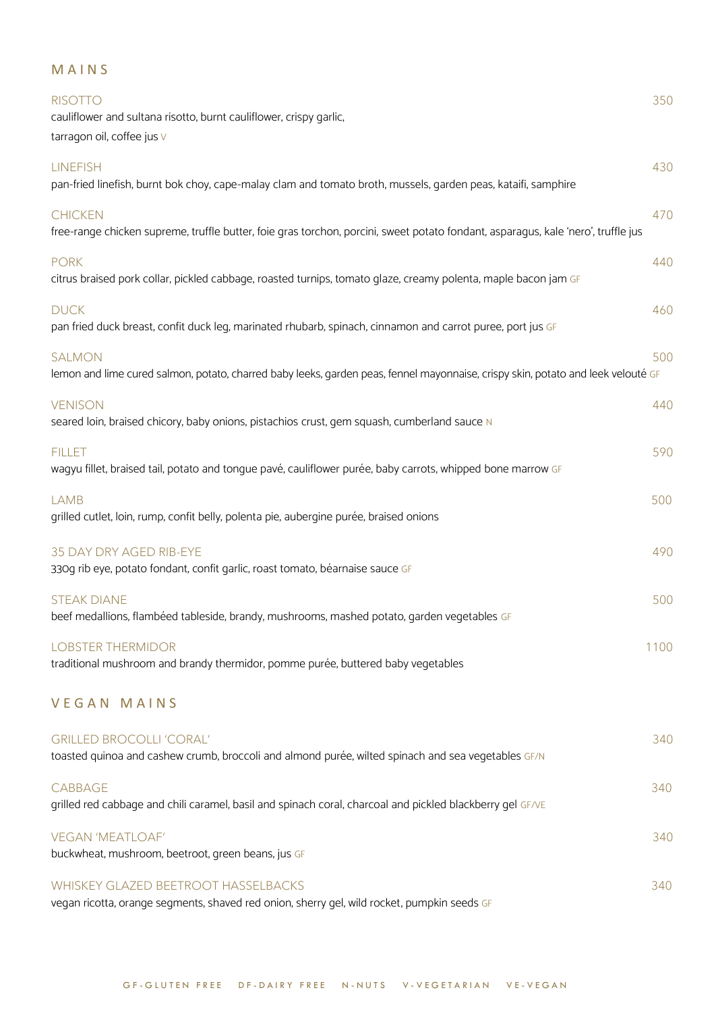## M A I N S

| <b>RISOTTO</b><br>cauliflower and sultana risotto, burnt cauliflower, crispy garlic,<br>tarragon oil, coffee jus v                                  | 350  |  |  |
|-----------------------------------------------------------------------------------------------------------------------------------------------------|------|--|--|
| <b>LINEFISH</b><br>pan-fried linefish, burnt bok choy, cape-malay clam and tomato broth, mussels, garden peas, kataifi, samphire                    | 430  |  |  |
| <b>CHICKEN</b><br>free-range chicken supreme, truffle butter, foie gras torchon, porcini, sweet potato fondant, asparagus, kale 'nero', truffle jus | 470  |  |  |
| <b>PORK</b><br>citrus braised pork collar, pickled cabbage, roasted turnips, tomato glaze, creamy polenta, maple bacon jam GF                       | 440  |  |  |
| <b>DUCK</b><br>pan fried duck breast, confit duck leg, marinated rhubarb, spinach, cinnamon and carrot puree, port jus GF                           | 460  |  |  |
| <b>SALMON</b><br>lemon and lime cured salmon, potato, charred baby leeks, garden peas, fennel mayonnaise, crispy skin, potato and leek velouté GF   | 500  |  |  |
| <b>VENISON</b><br>seared loin, braised chicory, baby onions, pistachios crust, gem squash, cumberland sauce N                                       | 440  |  |  |
| <b>FILLET</b><br>wagyu fillet, braised tail, potato and tonque pavé, cauliflower purée, baby carrots, whipped bone marrow GF                        | 590  |  |  |
| <b>LAMB</b><br>grilled cutlet, loin, rump, confit belly, polenta pie, aubergine purée, braised onions                                               | 500  |  |  |
| 35 DAY DRY AGED RIB-EYE<br>330g rib eye, potato fondant, confit garlic, roast tomato, béarnaise sauce GF                                            | 490  |  |  |
| <b>STEAK DIANE</b><br>beef medallions, flambéed tableside, brandy, mushrooms, mashed potato, garden vegetables GF                                   | 500  |  |  |
| <b>LOBSTER THERMIDOR</b><br>traditional mushroom and brandy thermidor, pomme purée, buttered baby vegetables                                        | 1100 |  |  |
| <b>VEGAN MAINS</b>                                                                                                                                  |      |  |  |
| <b>GRILLED BROCOLLI 'CORAL'</b><br>toasted quinoa and cashew crumb, broccoli and almond purée, wilted spinach and sea vegetables GF/N               | 340  |  |  |
| CABBAGE<br>grilled red cabbage and chili caramel, basil and spinach coral, charcoal and pickled blackberry gel GF/VE                                | 340  |  |  |
| <b>VEGAN 'MEATLOAF'</b><br>buckwheat, mushroom, beetroot, green beans, jus GF                                                                       | 340  |  |  |
| WHISKEY GLAZED BEETROOT HASSELBACKS                                                                                                                 | 340  |  |  |

vegan ricotta, orange segments, shaved red onion, sherry gel, wild rocket, pumpkin seeds GF